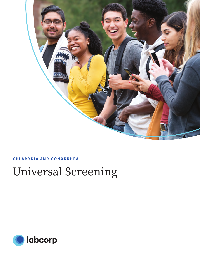

### **CHLAMYDIA AND GONORRHEA**

# Universal Screening

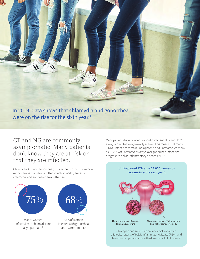In 2019, data shows that chlamydia and gonorrhea were on the rise for the sixth year. $^1$ 

CT and NG are commonly asymptomatic. Many patients don't know they are at risk or that they are infected.

Chlamydia (CT) and gonorrhea (NG) are the two most common reportable sexually transmitted infections (STIs). Rates of chlamydia and gonorrhea are on the rise.



Many patients have concerns about confidentiality and don't always admit to being sexually active.<sup>3</sup> This means that many CT/NG infections remain undiagnosed and untreated. As many as 10-20% of untreated chlamydia or gonorrhea infections progress to pelvic inflammatory disease (PID).4



etiological agents of Pelvic Inflammatory Disease (PID) – and have been implicated in one third to one half of PID cases<sup>6</sup>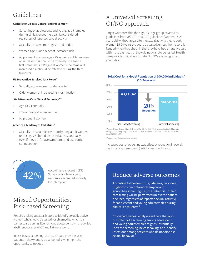# Guidelines

### **Centers for Disease Control and Prevention7**

- Screening of adolescents and young adult females during clinical encounters can be considered regardless of reported sexual activity
- Sexually active women age 24 and under
- Women age 25 and older at increased risk
- All pregnant women ages <25 as well as older women at increased risk should be routinely screened at first prenatal visit. Pregnant women who remain at increased risk should be retested during the third trimester

#### **US Preventive Services Task Force8**

- Sexually active women under age 24
- Older women at increased risk for infection

#### **Well-Woman Care Clinical Summary**<sup>9,10</sup>

- Age 13-24 annually
- > 24 annually if increased risk
- All pregnant women

#### **American Academy of Pediatrics10**

Sexually active adolescents and young adult women under age 25 should be tested at least annually, even if they don't have symptoms and use barrier contraception



According to a recent HEDIS Survey, only 42% of young women are screened annually for chlamydia<sup>11</sup>

## Missed Opportunities: Risk-based Screening

Requires taking a sexual history to identify sexually active women who should be tested for chlamydia, which is a barrier to screening. Even among adolescents who reported abstinence, cases of CT and NG were found.

In risk-based screening, the health care provider asks patients if they want to be screened, giving them the opportunity to opt out.

# A universal screening CT/NG approach

Target women within the high-risk age group covered by guidelines from USPSTF and CDC guidelines (women 15-24 years old) without regard to the sexual activity they report. Women 15-24 years old could be tested, unless their record is flagged when they check in that they have had a negative test within the past year, or they did not want to be tested. Health care provider would say to patients, "We are going to test you today."

### **Total Cost for a Model Population of 100,000 Individuals\* (15-24 years)†**



† Adapted from: Owusu-Edusei K, Hoover KW, Gift TL. Cost-effectiveness of opt-out chlamydia testing for high-risk young women in the U.S. *Am J Prev Med*. 2016;51(2):216-24. doi: 10.1016/j. amepre.2016.01.007.

\*Population includes men and women

Increased cost of screening was offset by reduction in overall health care system spend (fertility treatments, etc.).

### Reduce adverse outcomes

According to the new CDC guidelines, providers might consider opt-out chlamydia and gonorrhea screening (i.e., the patient is notified that testing will be performed unless the patient declines, regardless of reported sexual activity) for adolescent and young adult females during clinical encounters.7

Cost-effectiveness analyses indicate that optout chlamydia screening among adolescent and young adult females might substantially increase screening, be cost-saving, and identify infections among patients who do not disclose sexual behavior.<sup>7</sup>